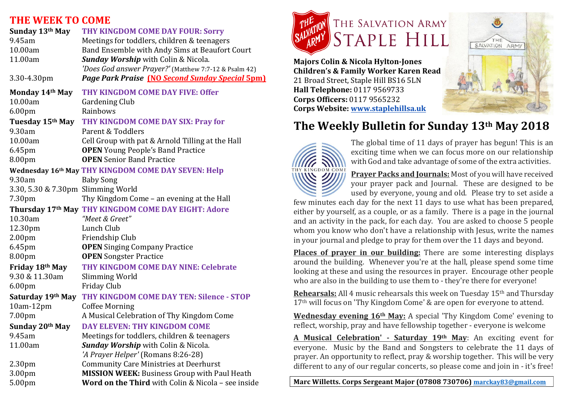#### **THE WEEK TO COME**

| Sunday 13th May                    | THY KINGDOM COME DAY FOUR: Sorry                       |
|------------------------------------|--------------------------------------------------------|
| 9.45am                             | Meetings for toddlers, children & teenagers            |
| 10.00am                            | Band Ensemble with Andy Sims at Beaufort Court         |
| 11.00am                            | <b>Sunday Worship</b> with Colin & Nicola.             |
|                                    | 'Does God answer Prayer?' (Matthew 7:7-12 & Psalm 42)  |
| 3.30-4.30pm                        | <b>Page Park Praise (NO Second Sunday Special 5pm)</b> |
| Monday 14th May                    | THY KINGDOM COME DAY FIVE: Offer                       |
| 10.00am                            | <b>Gardening Club</b>                                  |
| 6.00 <sub>pm</sub>                 | Rainbows                                               |
|                                    | Tuesday 15th May THY KINGDOM COME DAY SIX: Pray for    |
| 9.30am                             | Parent & Toddlers                                      |
| 10.00am                            | Cell Group with pat & Arnold Tilling at the Hall       |
| 6.45pm                             | <b>OPEN</b> Young People's Band Practice               |
| 8.00pm                             | <b>OPEN</b> Senior Band Practice                       |
|                                    | Wednesday 16th May THY KINGDOM COME DAY SEVEN: Help    |
| 9.30am                             | <b>Baby Song</b>                                       |
| 3.30, 5.30 & 7.30pm Slimming World |                                                        |
| 7.30pm                             | Thy Kingdom Come - an evening at the Hall              |
|                                    | Thursday 17th May THY KINGDOM COME DAY EIGHT: Adore    |
| 10.30am                            | "Meet & Greet"                                         |
| 12.30pm                            | Lunch Club                                             |
| 2.00 <sub>pm</sub>                 | Friendship Club                                        |
| 6.45pm                             | <b>OPEN</b> Singing Company Practice                   |
| 8.00pm                             | <b>OPEN</b> Songster Practice                          |
| Friday 18th May                    | THY KINGDOM COME DAY NINE: Celebrate                   |
| 9.30 & 11.30am                     | <b>Slimming World</b>                                  |
| 6.00pm                             | Friday Club                                            |
| Saturday 19th May                  | THY KINGDOM COME DAY TEN: Silence - STOP               |
| 10am-12pm                          | <b>Coffee Morning</b>                                  |
| 7.00pm                             | A Musical Celebration of Thy Kingdom Come              |
| Sunday 20th May                    | DAY ELEVEN: THY KINGDOM COME                           |
| 9.45am                             | Meetings for toddlers, children & teenagers            |
| 11.00am                            | <b>Sunday Worship</b> with Colin & Nicola.             |
|                                    | 'A Prayer Helper' (Romans 8:26-28)                     |
| 2.30 <sub>pm</sub>                 | <b>Community Care Ministries at Deerhurst</b>          |
| 3.00pm                             | MISSION WEEK: Business Group with Paul Heath           |
| 5.00pm                             | Word on the Third with Colin & Nicola - see inside     |



**Majors Colin & Nicola Hylton-Jones Children's & Family Worker Karen Read** 21 Broad Street, Staple Hill BS16 5LN **Hall Telephone:** 0117 9569733 **Corps Officers:** 0117 9565232 **Corps Website: www.staplehillsa.uk**



## **The Weekly Bulletin for Sunday 13th May 2018**



The global time of 11 days of prayer has begun! This is an exciting time when we can focus more on our relationship with God and take advantage of some of the extra activities.

**Prayer Packs and Journals:** Most of you will have received your prayer pack and Journal. These are designed to be used by everyone, young and old. Please try to set aside a

few minutes each day for the next 11 days to use what has been prepared, either by yourself, as a couple, or as a family. There is a page in the journal and an activity in the pack, for each day. You are asked to choose 5 people whom you know who don't have a relationship with Jesus, write the names in your journal and pledge to pray for them over the 11 days and beyond.

**Places of prayer in our building:** There are some interesting displays around the building. Whenever you're at the hall, please spend some time looking at these and using the resources in prayer. Encourage other people who are also in the building to use them to - they're there for everyone!

**Rehearsals:** All 4 music rehearsals this week on Tuesday 15<sup>th</sup> and Thursday 17<sup>th</sup> will focus on 'Thy Kingdom Come' & are open for everyone to attend.

**Wednesday evening 16<sup>th</sup> May:** A special 'Thy Kingdom Come' evening to reflect, worship, pray and have fellowship together - everyone is welcome

A Musical Celebration' - Saturday 19th May: An exciting event for everyone. Music by the Band and Songsters to celebrate the 11 days of prayer. An opportunity to reflect, pray & worship together. This will be very different to any of our regular concerts, so please come and join in - it's free!

Marc Willetts. Corps Sergeant Major (07808 730706) marckay83@gmail.com